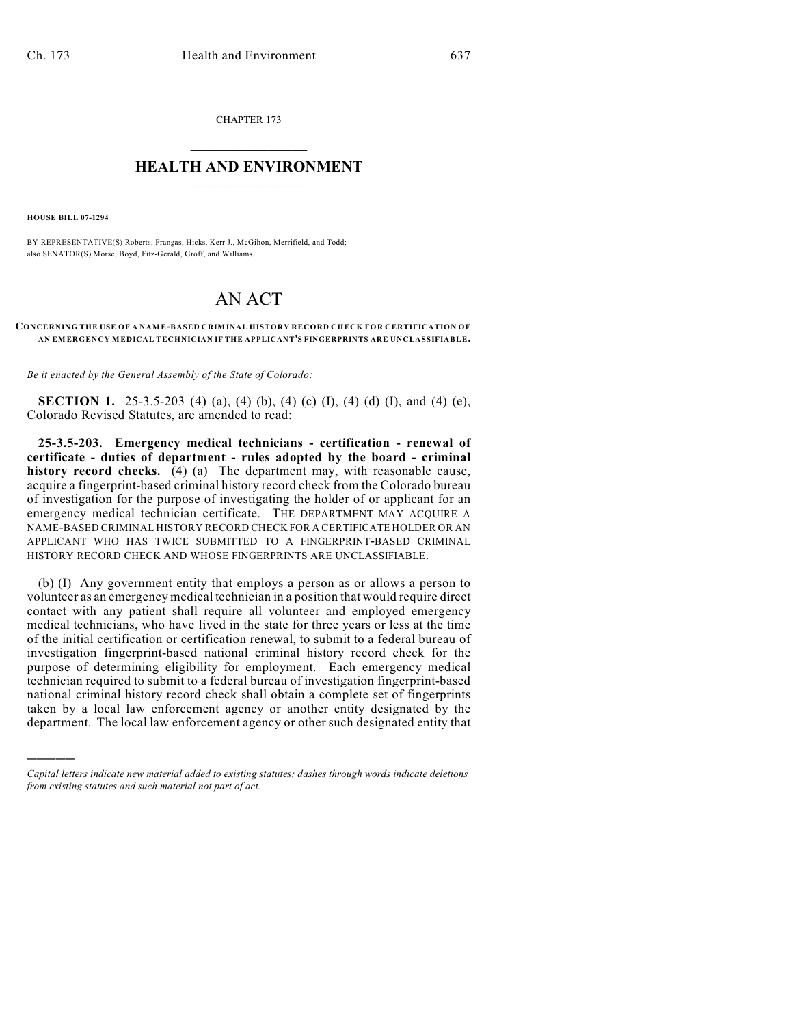CHAPTER 173  $\mathcal{L}_\text{max}$  . The set of the set of the set of the set of the set of the set of the set of the set of the set of the set of the set of the set of the set of the set of the set of the set of the set of the set of the set

## **HEALTH AND ENVIRONMENT**  $\_$

**HOUSE BILL 07-1294**

)))))

BY REPRESENTATIVE(S) Roberts, Frangas, Hicks, Kerr J., McGihon, Merrifield, and Todd; also SENATOR(S) Morse, Boyd, Fitz-Gerald, Groff, and Williams.

## AN ACT

## **CONCERNING THE USE OF A NAM E-BASED CRIMINAL HISTORY RECORD CHECK FOR CERTIFICATION OF AN EM ERGENCY MEDICAL TECHNICIAN IF THE APPLICANT'S FINGERPRINTS ARE UNCLASSIFIABLE.**

*Be it enacted by the General Assembly of the State of Colorado:*

**SECTION 1.** 25-3.5-203 (4) (a), (4) (b), (4) (c) (I), (4) (d) (I), and (4) (e), Colorado Revised Statutes, are amended to read:

**25-3.5-203. Emergency medical technicians - certification - renewal of certificate - duties of department - rules adopted by the board - criminal history record checks.** (4) (a) The department may, with reasonable cause, acquire a fingerprint-based criminal history record check from the Colorado bureau of investigation for the purpose of investigating the holder of or applicant for an emergency medical technician certificate. THE DEPARTMENT MAY ACQUIRE A NAME-BASED CRIMINAL HISTORY RECORD CHECK FOR A CERTIFICATE HOLDER OR AN APPLICANT WHO HAS TWICE SUBMITTED TO A FINGERPRINT-BASED CRIMINAL HISTORY RECORD CHECK AND WHOSE FINGERPRINTS ARE UNCLASSIFIABLE.

(b) (I) Any government entity that employs a person as or allows a person to volunteer as an emergency medical technician in a position that would require direct contact with any patient shall require all volunteer and employed emergency medical technicians, who have lived in the state for three years or less at the time of the initial certification or certification renewal, to submit to a federal bureau of investigation fingerprint-based national criminal history record check for the purpose of determining eligibility for employment. Each emergency medical technician required to submit to a federal bureau of investigation fingerprint-based national criminal history record check shall obtain a complete set of fingerprints taken by a local law enforcement agency or another entity designated by the department. The local law enforcement agency or other such designated entity that

*Capital letters indicate new material added to existing statutes; dashes through words indicate deletions from existing statutes and such material not part of act.*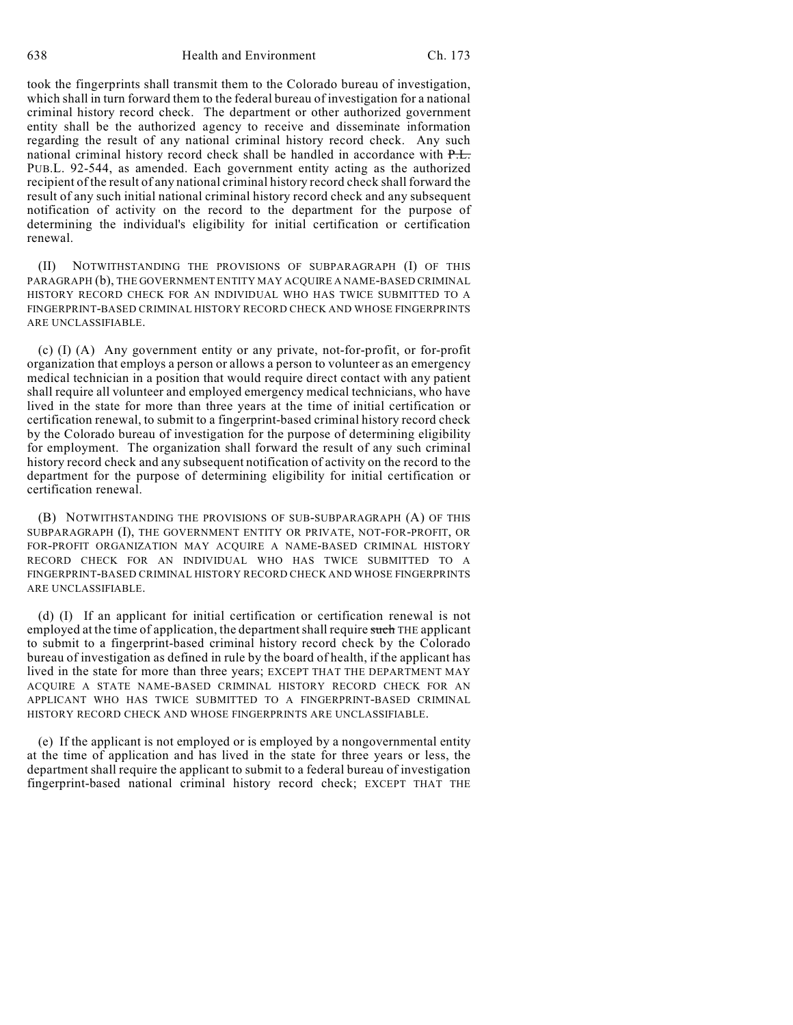took the fingerprints shall transmit them to the Colorado bureau of investigation, which shall in turn forward them to the federal bureau of investigation for a national criminal history record check. The department or other authorized government entity shall be the authorized agency to receive and disseminate information regarding the result of any national criminal history record check. Any such national criminal history record check shall be handled in accordance with P.L. PUB.L. 92-544, as amended. Each government entity acting as the authorized recipient of the result of any national criminal history record check shall forward the result of any such initial national criminal history record check and any subsequent notification of activity on the record to the department for the purpose of determining the individual's eligibility for initial certification or certification renewal.

(II) NOTWITHSTANDING THE PROVISIONS OF SUBPARAGRAPH (I) OF THIS PARAGRAPH (b), THE GOVERNMENT ENTITY MAY ACQUIRE A NAME-BASED CRIMINAL HISTORY RECORD CHECK FOR AN INDIVIDUAL WHO HAS TWICE SUBMITTED TO A FINGERPRINT-BASED CRIMINAL HISTORY RECORD CHECK AND WHOSE FINGERPRINTS ARE UNCLASSIFIABLE.

(c) (I) (A) Any government entity or any private, not-for-profit, or for-profit organization that employs a person or allows a person to volunteer as an emergency medical technician in a position that would require direct contact with any patient shall require all volunteer and employed emergency medical technicians, who have lived in the state for more than three years at the time of initial certification or certification renewal, to submit to a fingerprint-based criminal history record check by the Colorado bureau of investigation for the purpose of determining eligibility for employment. The organization shall forward the result of any such criminal history record check and any subsequent notification of activity on the record to the department for the purpose of determining eligibility for initial certification or certification renewal.

(B) NOTWITHSTANDING THE PROVISIONS OF SUB-SUBPARAGRAPH (A) OF THIS SUBPARAGRAPH (I), THE GOVERNMENT ENTITY OR PRIVATE, NOT-FOR-PROFIT, OR FOR-PROFIT ORGANIZATION MAY ACQUIRE A NAME-BASED CRIMINAL HISTORY RECORD CHECK FOR AN INDIVIDUAL WHO HAS TWICE SUBMITTED TO A FINGERPRINT-BASED CRIMINAL HISTORY RECORD CHECK AND WHOSE FINGERPRINTS ARE UNCLASSIFIABLE.

(d) (I) If an applicant for initial certification or certification renewal is not employed at the time of application, the department shall require such THE applicant to submit to a fingerprint-based criminal history record check by the Colorado bureau of investigation as defined in rule by the board of health, if the applicant has lived in the state for more than three years; EXCEPT THAT THE DEPARTMENT MAY ACQUIRE A STATE NAME-BASED CRIMINAL HISTORY RECORD CHECK FOR AN APPLICANT WHO HAS TWICE SUBMITTED TO A FINGERPRINT-BASED CRIMINAL HISTORY RECORD CHECK AND WHOSE FINGERPRINTS ARE UNCLASSIFIABLE.

(e) If the applicant is not employed or is employed by a nongovernmental entity at the time of application and has lived in the state for three years or less, the department shall require the applicant to submit to a federal bureau of investigation fingerprint-based national criminal history record check; EXCEPT THAT THE